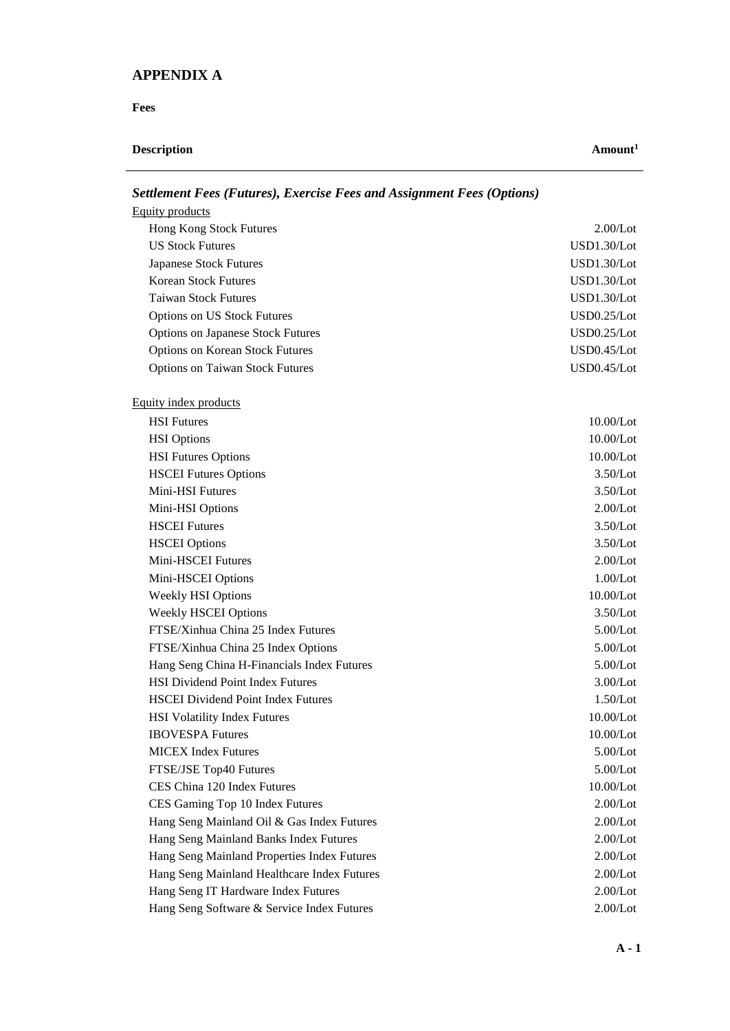## **APPENDIX A**

**Fees**

## **Description** Amount<sup>1</sup>

| $D$ chtchicht I ces (I mur cs), Lacretse I ces unu Assignment I ces (Options) |              |
|-------------------------------------------------------------------------------|--------------|
| Equity products                                                               |              |
| Hong Kong Stock Futures                                                       | 2.00/Lot     |
| <b>US Stock Futures</b>                                                       | USD1.30/Lot  |
| <b>Japanese Stock Futures</b>                                                 | USD1.30/Lot  |
| <b>Korean Stock Futures</b>                                                   | USD1.30/Lot  |
| <b>Taiwan Stock Futures</b>                                                   | USD1.30/Lot  |
| <b>Options on US Stock Futures</b>                                            | USD0.25/Lot  |
| <b>Options on Japanese Stock Futures</b>                                      | USD0.25/Lot  |
| <b>Options on Korean Stock Futures</b>                                        | USD0.45/Lot  |
| <b>Options on Taiwan Stock Futures</b>                                        | USD0.45/Lot  |
| Equity index products                                                         |              |
| <b>HSI</b> Futures                                                            | 10.00/Lot    |
| <b>HSI</b> Options                                                            | 10.00/Lot    |
| <b>HSI Futures Options</b>                                                    | 10.00/Lot    |
| <b>HSCEI Futures Options</b>                                                  | 3.50/Lot     |
| Mini-HSI Futures                                                              | 3.50/Lot     |
| Mini-HSI Options                                                              | 2.00/Lot     |
| <b>HSCEI Futures</b>                                                          | 3.50/Lot     |
| <b>HSCEI</b> Options                                                          | 3.50/Lot     |
| Mini-HSCEI Futures                                                            | 2.00/Lot     |
| Mini-HSCEI Options                                                            | 1.00/Lot     |
| <b>Weekly HSI Options</b>                                                     | $10.00$ /Lot |
| <b>Weekly HSCEI Options</b>                                                   | 3.50/Lot     |
| FTSE/Xinhua China 25 Index Futures                                            | 5.00/Lot     |
| FTSE/Xinhua China 25 Index Options                                            | 5.00/Lot     |
| Hang Seng China H-Financials Index Futures                                    | 5.00/Lot     |
| <b>HSI Dividend Point Index Futures</b>                                       | 3.00/Lot     |
| <b>HSCEI Dividend Point Index Futures</b>                                     | 1.50/Lot     |
| <b>HSI Volatility Index Futures</b>                                           | $10.00$ /Lot |
| <b>IBOVESPA Futures</b>                                                       | 10.00/Lot    |
| <b>MICEX</b> Index Futures                                                    | 5.00/Lot     |
| FTSE/JSE Top40 Futures                                                        | 5.00/Lot     |
| CES China 120 Index Futures                                                   | 10.00/Lot    |
| CES Gaming Top 10 Index Futures                                               | 2.00/Lot     |
| Hang Seng Mainland Oil & Gas Index Futures                                    | 2.00/Lot     |
| Hang Seng Mainland Banks Index Futures                                        | 2.00/Lot     |
| Hang Seng Mainland Properties Index Futures                                   | 2.00/Lot     |
| Hang Seng Mainland Healthcare Index Futures                                   | 2.00/Lot     |
| Hang Seng IT Hardware Index Futures                                           | 2.00/Lot     |
| Hang Seng Software & Service Index Futures                                    | 2.00/Lot     |

*Settlement Fees (Futures), Exercise Fees and Assignment Fees (Options)*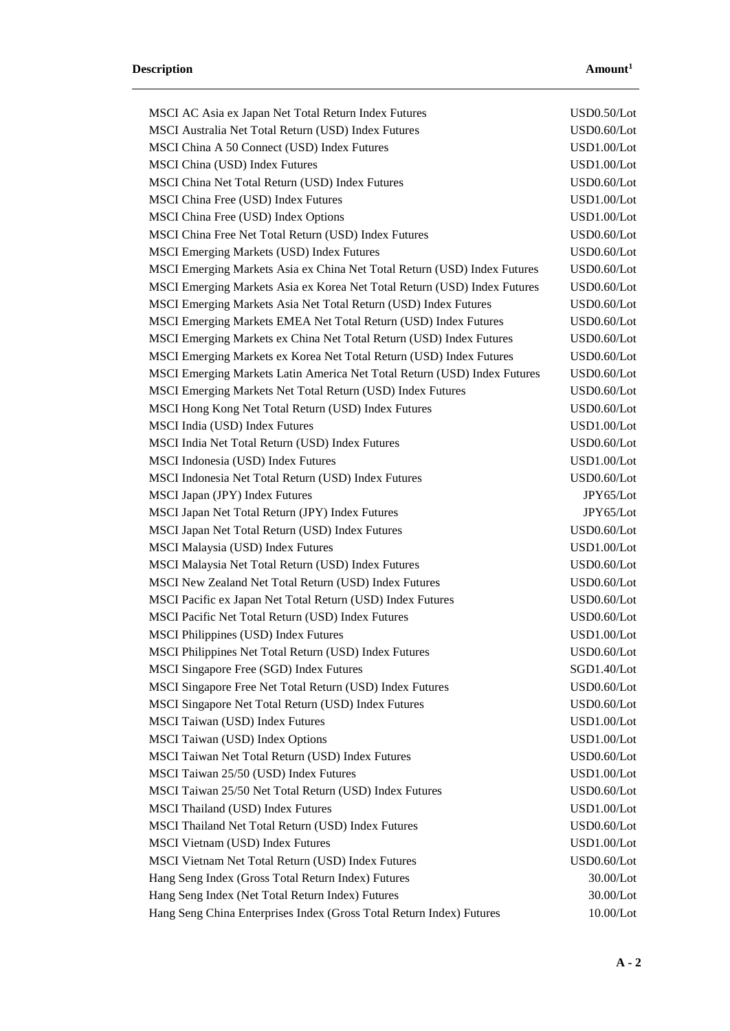| MSCI AC Asia ex Japan Net Total Return Index Futures                     | USD0.50/Lot |
|--------------------------------------------------------------------------|-------------|
| MSCI Australia Net Total Return (USD) Index Futures                      | USD0.60/Lot |
| MSCI China A 50 Connect (USD) Index Futures                              | USD1.00/Lot |
| MSCI China (USD) Index Futures                                           | USD1.00/Lot |
| MSCI China Net Total Return (USD) Index Futures                          | USD0.60/Lot |
| MSCI China Free (USD) Index Futures                                      | USD1.00/Lot |
| MSCI China Free (USD) Index Options                                      | USD1.00/Lot |
| MSCI China Free Net Total Return (USD) Index Futures                     | USD0.60/Lot |
| <b>MSCI Emerging Markets (USD) Index Futures</b>                         | USD0.60/Lot |
| MSCI Emerging Markets Asia ex China Net Total Return (USD) Index Futures | USD0.60/Lot |
| MSCI Emerging Markets Asia ex Korea Net Total Return (USD) Index Futures | USD0.60/Lot |
| MSCI Emerging Markets Asia Net Total Return (USD) Index Futures          | USD0.60/Lot |
| MSCI Emerging Markets EMEA Net Total Return (USD) Index Futures          | USD0.60/Lot |
| MSCI Emerging Markets ex China Net Total Return (USD) Index Futures      | USD0.60/Lot |
| MSCI Emerging Markets ex Korea Net Total Return (USD) Index Futures      | USD0.60/Lot |
| MSCI Emerging Markets Latin America Net Total Return (USD) Index Futures | USD0.60/Lot |
| MSCI Emerging Markets Net Total Return (USD) Index Futures               | USD0.60/Lot |
| MSCI Hong Kong Net Total Return (USD) Index Futures                      | USD0.60/Lot |
| MSCI India (USD) Index Futures                                           | USD1.00/Lot |
| MSCI India Net Total Return (USD) Index Futures                          | USD0.60/Lot |
| MSCI Indonesia (USD) Index Futures                                       | USD1.00/Lot |
| MSCI Indonesia Net Total Return (USD) Index Futures                      | USD0.60/Lot |
| MSCI Japan (JPY) Index Futures                                           | JPY65/Lot   |
| MSCI Japan Net Total Return (JPY) Index Futures                          | JPY65/Lot   |
| MSCI Japan Net Total Return (USD) Index Futures                          | USD0.60/Lot |
| MSCI Malaysia (USD) Index Futures                                        | USD1.00/Lot |
| MSCI Malaysia Net Total Return (USD) Index Futures                       | USD0.60/Lot |
| MSCI New Zealand Net Total Return (USD) Index Futures                    | USD0.60/Lot |
| MSCI Pacific ex Japan Net Total Return (USD) Index Futures               | USD0.60/Lot |
| MSCI Pacific Net Total Return (USD) Index Futures                        | USD0.60/Lot |
| <b>MSCI Philippines (USD) Index Futures</b>                              | USD1.00/Lot |
| MSCI Philippines Net Total Return (USD) Index Futures                    | USD0.60/Lot |
| MSCI Singapore Free (SGD) Index Futures                                  | SGD1.40/Lot |
| MSCI Singapore Free Net Total Return (USD) Index Futures                 | USD0.60/Lot |
| MSCI Singapore Net Total Return (USD) Index Futures                      | USD0.60/Lot |
| MSCI Taiwan (USD) Index Futures                                          | USD1.00/Lot |
| <b>MSCI Taiwan (USD) Index Options</b>                                   | USD1.00/Lot |
| MSCI Taiwan Net Total Return (USD) Index Futures                         | USD0.60/Lot |
| MSCI Taiwan 25/50 (USD) Index Futures                                    | USD1.00/Lot |
| MSCI Taiwan 25/50 Net Total Return (USD) Index Futures                   | USD0.60/Lot |
| MSCI Thailand (USD) Index Futures                                        | USD1.00/Lot |
| MSCI Thailand Net Total Return (USD) Index Futures                       | USD0.60/Lot |
| MSCI Vietnam (USD) Index Futures                                         | USD1.00/Lot |
| MSCI Vietnam Net Total Return (USD) Index Futures                        | USD0.60/Lot |
| Hang Seng Index (Gross Total Return Index) Futures                       | 30.00/Lot   |
| Hang Seng Index (Net Total Return Index) Futures                         | 30.00/Lot   |
| Hang Seng China Enterprises Index (Gross Total Return Index) Futures     | 10.00/Lot   |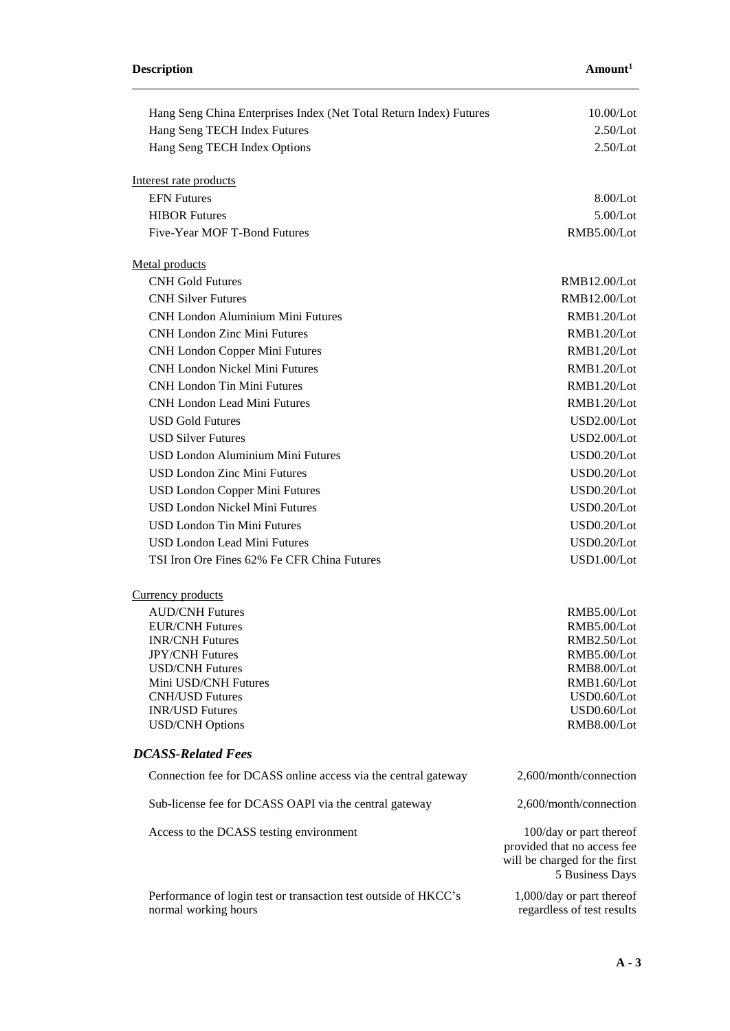| Hang Seng China Enterprises Index (Net Total Return Index) Futures | 10.00/Lot                     |
|--------------------------------------------------------------------|-------------------------------|
| Hang Seng TECH Index Futures                                       | 2.50/Lot                      |
| Hang Seng TECH Index Options                                       | 2.50/Lot                      |
|                                                                    |                               |
| Interest rate products                                             |                               |
| <b>EFN</b> Futures                                                 | 8.00/Lot                      |
| <b>HIBOR Futures</b>                                               | 5.00/Lot                      |
| Five-Year MOF T-Bond Futures                                       | RMB5.00/Lot                   |
|                                                                    |                               |
| Metal products                                                     |                               |
| <b>CNH Gold Futures</b>                                            | RMB12.00/Lot                  |
| <b>CNH Silver Futures</b>                                          | RMB12.00/Lot                  |
| <b>CNH London Aluminium Mini Futures</b>                           | RMB1.20/Lot                   |
| <b>CNH London Zinc Mini Futures</b>                                | RMB1.20/Lot                   |
| <b>CNH London Copper Mini Futures</b>                              | RMB1.20/Lot                   |
| <b>CNH London Nickel Mini Futures</b>                              | RMB1.20/Lot                   |
| <b>CNH London Tin Mini Futures</b>                                 | RMB1.20/Lot                   |
|                                                                    |                               |
| <b>CNH London Lead Mini Futures</b>                                | RMB1.20/Lot                   |
| <b>USD Gold Futures</b>                                            | USD2.00/Lot                   |
| <b>USD Silver Futures</b>                                          | USD2.00/Lot                   |
| <b>USD London Aluminium Mini Futures</b>                           | USD0.20/Lot                   |
| <b>USD London Zinc Mini Futures</b>                                | USD0.20/Lot                   |
| <b>USD London Copper Mini Futures</b>                              | USD0.20/Lot                   |
| <b>USD London Nickel Mini Futures</b>                              | USD0.20/Lot                   |
| <b>USD London Tin Mini Futures</b>                                 | USD0.20/Lot                   |
| <b>USD London Lead Mini Futures</b>                                | USD0.20/Lot                   |
| TSI Iron Ore Fines 62% Fe CFR China Futures                        | USD1.00/Lot                   |
|                                                                    |                               |
| Currency products                                                  |                               |
| <b>AUD/CNH Futures</b>                                             | RMB5.00/Lot                   |
| <b>EUR/CNH Futures</b>                                             | RMB5.00/Lot                   |
| <b>INR/CNH</b> Futures                                             | RMB2.50/Lot                   |
| <b>JPY/CNH Futures</b>                                             | RMB5.00/Lot                   |
| <b>USD/CNH Futures</b>                                             | RMB8.00/Lot                   |
| Mini USD/CNH Futures                                               | RMB1.60/Lot                   |
| <b>CNH/USD Futures</b>                                             | USD0.60/Lot                   |
| <b>INR/USD Futures</b>                                             | USD0.60/Lot                   |
| <b>USD/CNH Options</b>                                             | RMB8.00/Lot                   |
| <b>DCASS-Related Fees</b>                                          |                               |
|                                                                    |                               |
| Connection fee for DCASS online access via the central gateway     | 2,600/month/connection        |
| Sub-license fee for DCASS OAPI via the central gateway             | 2,600/month/connection        |
| Access to the DCASS testing environment                            | 100/day or part thereof       |
|                                                                    | provided that no access fee   |
|                                                                    | will be charged for the first |
|                                                                    | 5 Business Days               |
| Performance of login test or transaction test outside of HKCC's    | 1,000/day or part thereof     |
| normal working hours                                               | regardless of test results    |